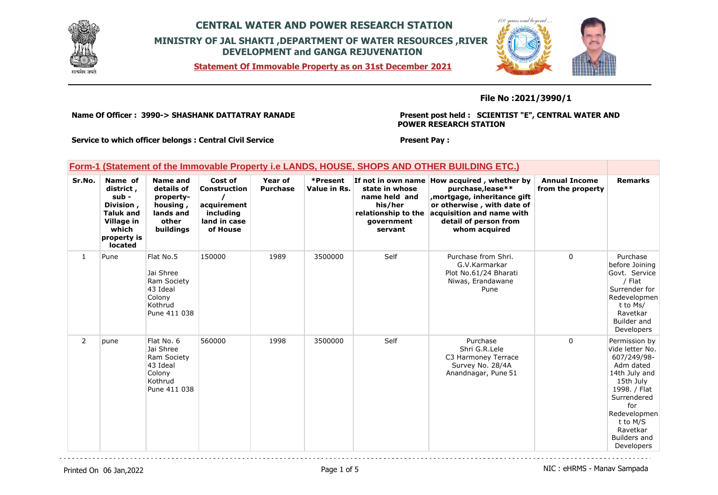

**Statement Of Immovable Property as on 31st December 2021**



#### **File No :2021/3990/1**

**Name Of Officer : 3990-> SHASHANK DATTATRAY RANADE** 

**Present post held : SCIENTIST "E", CENTRAL WATER AND POWER RESEARCH STATION**

**Service to which officer belongs : Central Civil Service**

#### **Present Pay :**

|                |                                                                                                                 |                                                                                           |                                                                                        |                            |                          |                                                                                            | Form-1 (Statement of the Immovable Property i.e LANDS, HOUSE, SHOPS AND OTHER BUILDING ETC.)                                                                                                        |                                           |                                                                                                                                                                                                        |
|----------------|-----------------------------------------------------------------------------------------------------------------|-------------------------------------------------------------------------------------------|----------------------------------------------------------------------------------------|----------------------------|--------------------------|--------------------------------------------------------------------------------------------|-----------------------------------------------------------------------------------------------------------------------------------------------------------------------------------------------------|-------------------------------------------|--------------------------------------------------------------------------------------------------------------------------------------------------------------------------------------------------------|
| Sr.No.         | Name of<br>district,<br>sub -<br>Division,<br><b>Taluk and</b><br>Village in<br>which<br>property is<br>located | <b>Name and</b><br>details of<br>property-<br>housing,<br>lands and<br>other<br>buildings | Cost of<br><b>Construction</b><br>acquirement<br>including<br>land in case<br>of House | Year of<br><b>Purchase</b> | *Present<br>Value in Rs. | state in whose<br>name held and<br>his/her<br>relationship to the<br>qovernment<br>servant | If not in own name How acquired, whether by<br>purchase, lease**<br>mortgage, inheritance gift<br>or otherwise, with date of<br>acquisition and name with<br>detail of person from<br>whom acquired | <b>Annual Income</b><br>from the property | <b>Remarks</b>                                                                                                                                                                                         |
| $\mathbf{1}$   | Pune                                                                                                            | Flat No.5<br>Jai Shree<br>Ram Society<br>43 Ideal<br>Colony<br>Kothrud<br>Pune 411 038    | 150000                                                                                 | 1989                       | 3500000                  | Self                                                                                       | Purchase from Shri.<br>G.V.Karmarkar<br>Plot No.61/24 Bharati<br>Niwas, Erandawane<br>Pune                                                                                                          | $\Omega$                                  | Purchase<br>before Joining<br>Govt. Service<br>/ Flat<br>Surrender for<br>Redevelopmen<br>t to Ms/<br>Ravetkar<br>Builder and<br>Developers                                                            |
| $\overline{2}$ | pune                                                                                                            | Flat No. 6<br>Jai Shree<br>Ram Society<br>43 Ideal<br>Colony<br>Kothrud<br>Pune 411 038   | 560000                                                                                 | 1998                       | 3500000                  | Self                                                                                       | Purchase<br>Shri G.R.Lele<br>C3 Harmoney Terrace<br>Survey No. 28/4A<br>Anandnagar, Pune 51                                                                                                         | 0                                         | Permission by<br>Vide letter No.<br>607/249/98-<br>Adm dated<br>14th July and<br>15th July<br>1998. / Flat<br>Surrendered<br>for<br>Redevelopmen<br>t to M/S<br>Ravetkar<br>Builders and<br>Developers |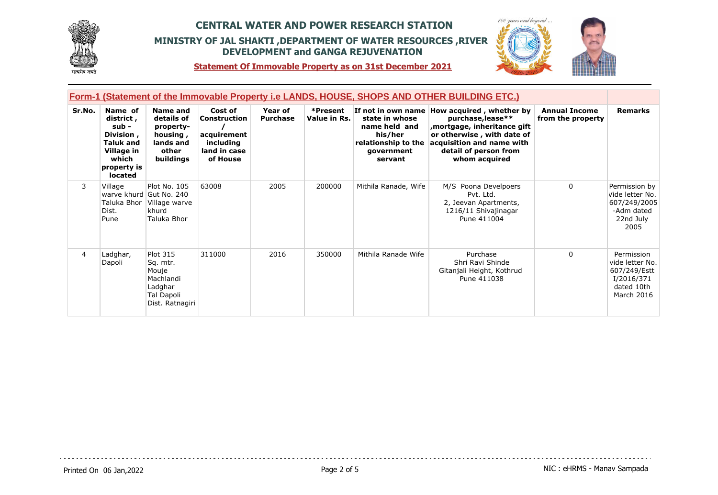



**Statement Of Immovable Property as on 31st December 2021**

| Form-1 (Statement of the Immovable Property i.e LANDS, HOUSE, SHOPS AND OTHER BUILDING ETC.) |                                                                                                                        |                                                                                               |                                                                                 |                            |                          |                                                                                            |                                                                                                                                                                                                      |                                           |                                                                                         |  |
|----------------------------------------------------------------------------------------------|------------------------------------------------------------------------------------------------------------------------|-----------------------------------------------------------------------------------------------|---------------------------------------------------------------------------------|----------------------------|--------------------------|--------------------------------------------------------------------------------------------|------------------------------------------------------------------------------------------------------------------------------------------------------------------------------------------------------|-------------------------------------------|-----------------------------------------------------------------------------------------|--|
| Sr.No.                                                                                       | Name of<br>district,<br>sub -<br>Division,<br><b>Taluk and</b><br>Village in<br>which<br>property is<br><b>located</b> | Name and<br>details of<br>property-<br>housing,<br>lands and<br>other<br>buildings            | Cost of<br>Construction<br>acquirement<br>including<br>land in case<br>of House | Year of<br><b>Purchase</b> | *Present<br>Value in Rs. | state in whose<br>name held and<br>his/her<br>relationship to the<br>government<br>servant | If not in own name How acquired, whether by<br>purchase, lease**<br>mortgage, inheritance gift,<br>or otherwise, with date of<br>acquisition and name with<br>detail of person from<br>whom acquired | <b>Annual Income</b><br>from the property | <b>Remarks</b>                                                                          |  |
| 3                                                                                            | Village<br>Taluka Bhor I<br>Dist.<br>Pune                                                                              | Plot No. 105<br>warve khurd Gut No. 240<br>Village warve<br>khurd<br>Taluka Bhor              | 63008                                                                           | 2005                       | 200000                   | Mithila Ranade, Wife                                                                       | M/S Poona Develpoers<br>Pvt. Ltd.<br>2, Jeevan Apartments,<br>1216/11 Shivajinagar<br>Pune 411004                                                                                                    | $\Omega$                                  | Permission by<br>Vide letter No.<br>607/249/2005<br>-Adm dated<br>22nd July<br>2005     |  |
| $\overline{4}$                                                                               | Ladghar,<br>Dapoli                                                                                                     | <b>Plot 315</b><br>Sq. mtr.<br>Mouje<br>Machlandi<br>Ladghar<br>Tal Dapoli<br>Dist. Ratnagiri | 311000                                                                          | 2016                       | 350000                   | Mithila Ranade Wife                                                                        | Purchase<br>Shri Ravi Shinde<br>Gitanjali Height, Kothrud<br>Pune 411038                                                                                                                             | $\Omega$                                  | Permission<br>vide letter No.<br>607/249/Estt<br>I/2016/371<br>dated 10th<br>March 2016 |  |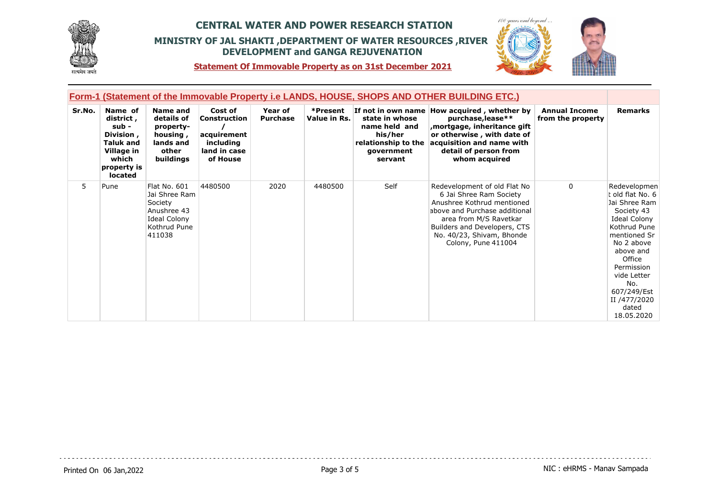



**Statement Of Immovable Property as on 31st December 2021**

| <b>Form-1 (Statement of the Immovable Property i.e LANDS, HOUSE, SHOPS AND OTHER BUILDING ETC.)</b> |                                                                                                                  |                                                                                                          |                                                                                        |                            |                          |                                                                                            |                                                                                                                                                                                                                                      |                                           |                                                                                                                                                                                                                                                |
|-----------------------------------------------------------------------------------------------------|------------------------------------------------------------------------------------------------------------------|----------------------------------------------------------------------------------------------------------|----------------------------------------------------------------------------------------|----------------------------|--------------------------|--------------------------------------------------------------------------------------------|--------------------------------------------------------------------------------------------------------------------------------------------------------------------------------------------------------------------------------------|-------------------------------------------|------------------------------------------------------------------------------------------------------------------------------------------------------------------------------------------------------------------------------------------------|
| Sr.No.                                                                                              | Name of<br>district ,<br>sub -<br>Division,<br><b>Taluk and</b><br>Village in<br>which<br>property is<br>located | Name and<br>details of<br>property-<br>housing,<br>lands and<br>other<br>buildings                       | Cost of<br><b>Construction</b><br>acquirement<br>including<br>land in case<br>of House | Year of<br><b>Purchase</b> | *Present<br>Value in Rs. | state in whose<br>name held and<br>his/her<br>relationship to the<br>government<br>servant | If not in own name How acquired, whether by<br>purchase, lease**<br>mortgage, inheritance gift,<br>or otherwise, with date of<br>acquisition and name with<br>detail of person from<br>whom acquired                                 | <b>Annual Income</b><br>from the property | <b>Remarks</b>                                                                                                                                                                                                                                 |
| 5                                                                                                   | Pune                                                                                                             | Flat No. 601<br>Jai Shree Ram<br>Society<br>Anushree 43<br><b>Ideal Colony</b><br>Kothrud Pune<br>411038 | 4480500                                                                                | 2020                       | 4480500                  | Self                                                                                       | Redevelopment of old Flat No<br>6 Jai Shree Ram Society<br>Anushree Kothrud mentioned<br>above and Purchase additional<br>area from M/S Ravetkar<br>Builders and Developers, CTS<br>No. 40/23, Shivam, Bhonde<br>Colony, Pune 411004 | $\Omega$                                  | Redevelopmen<br>t old flat No. 6<br>Jai Shree Ram<br>Society 43<br>Ideal Colony<br>Kothrud Pune<br>mentioned Sr<br>No 2 above<br>above and<br>Office<br>Permission<br>vide Letter<br>No.<br>607/249/Est<br>II /477/2020<br>dated<br>18.05.2020 |

 $-$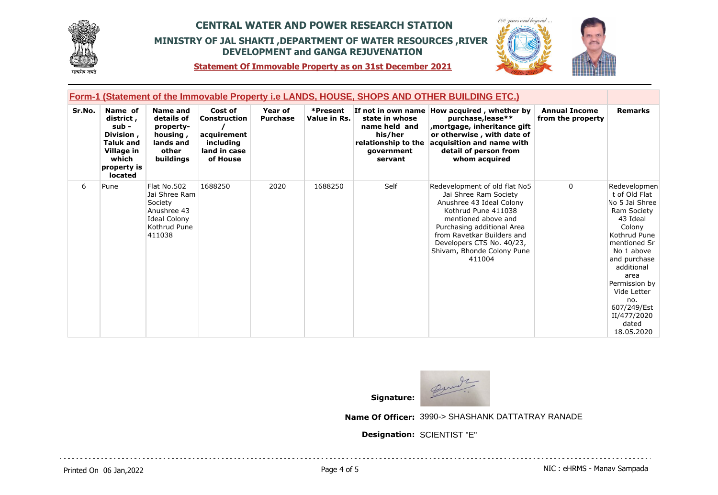



**Statement Of Immovable Property as on 31st December 2021**

| Form-1 (Statement of the Immovable Property i.e LANDS, HOUSE, SHOPS AND OTHER BUILDING ETC.) |                                                                                                                        |                                                                                                         |                                                                                 |                            |                          |                                                                                            |                                                                                                                                                                                                                                                                   |                                           |                                                                                                                                                                                                                                                                      |
|----------------------------------------------------------------------------------------------|------------------------------------------------------------------------------------------------------------------------|---------------------------------------------------------------------------------------------------------|---------------------------------------------------------------------------------|----------------------------|--------------------------|--------------------------------------------------------------------------------------------|-------------------------------------------------------------------------------------------------------------------------------------------------------------------------------------------------------------------------------------------------------------------|-------------------------------------------|----------------------------------------------------------------------------------------------------------------------------------------------------------------------------------------------------------------------------------------------------------------------|
| Sr.No.                                                                                       | Name of<br>district,<br>sub -<br>Division,<br><b>Taluk and</b><br>Village in<br>which<br>property is<br><b>located</b> | Name and<br>details of<br>property-<br>housing,<br>lands and<br>other<br>buildings                      | Cost of<br>Construction<br>acquirement<br>including<br>land in case<br>of House | Year of<br><b>Purchase</b> | *Present<br>Value in Rs. | state in whose<br>name held and<br>his/her<br>relationship to the<br>government<br>servant | If not in own name How acquired, whether by<br>purchase, lease**<br>mortgage, inheritance gift,<br>or otherwise, with date of<br>acquisition and name with<br>detail of person from<br>whom acquired                                                              | <b>Annual Income</b><br>from the property | <b>Remarks</b>                                                                                                                                                                                                                                                       |
| 6                                                                                            | Pune                                                                                                                   | Flat No.502<br>Jai Shree Ram<br>Society<br>Anushree 43<br><b>Ideal Colony</b><br>Kothrud Pune<br>411038 | 1688250                                                                         | 2020                       | 1688250                  | Self                                                                                       | Redevelopment of old flat No5<br>Jai Shree Ram Society<br>Anushree 43 Ideal Colony<br>Kothrud Pune 411038<br>mentioned above and<br>Purchasing additional Area<br>from Ravetkar Builders and<br>Developers CTS No. 40/23,<br>Shivam, Bhonde Colony Pune<br>411004 | $\Omega$                                  | Redevelopmen<br>t of Old Flat<br>No 5 Jai Shree<br>Ram Society<br>43 Ideal<br>Colony<br>Kothrud Pune<br>mentioned Sr<br>No 1 above<br>and purchase<br>additional<br>area<br>Permission by<br>Vide Letter<br>no.<br>607/249/Est<br>II/477/2020<br>dated<br>18.05.2020 |



**Name Of Officer:** 3990-> SHASHANK DATTATRAY RANADE

. . . . . . . . . . . . . . . . . . .

**Designation:** SCIENTIST "E"

Printed On 06 Jan, 2022 **Page 4 of 5** Page 4 of 5 NIC : eHRMS - Manav Sampada